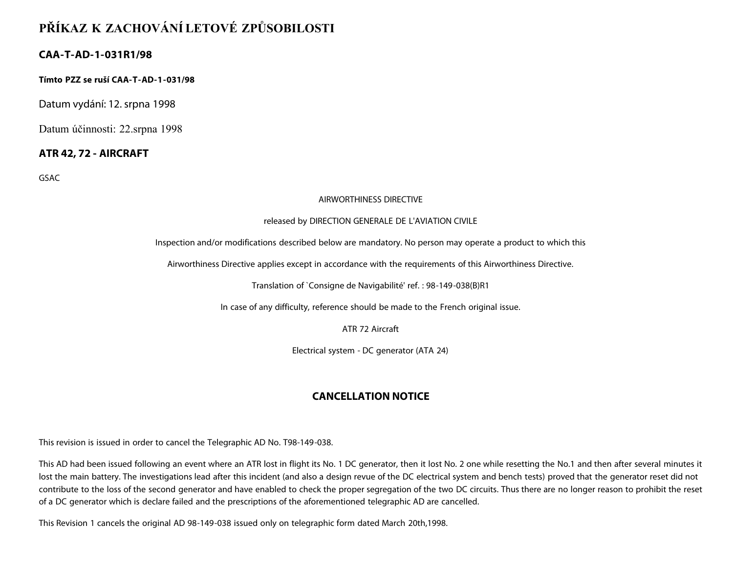# **PŘÍKAZ K ZACHOVÁNÍ LETOVÉ ZPŮSOBILOSTI**

# **CAA-T-AD-1-031R1/98**

**Tímto PZZ se ruší CAA-T-AD-1-031/98**

Datum vydání: 12. srpna 1998

Datum účinnosti: 22.srpna 1998

### **ATR 42, 72 - AIRCRAFT**

GSAC

#### AIRWORTHINESS DIRECTIVE

#### released by DIRECTION GENERALE DE L'AVIATION CIVILE

Inspection and/or modifications described below are mandatory. No person may operate a product to which this

Airworthiness Directive applies except in accordance with the requirements of this Airworthiness Directive.

Translation of `Consigne de Navigabilité' ref. : 98-149-038(B)R1

In case of any difficulty, reference should be made to the French original issue.

ATR 72 Aircraft

Electrical system - DC generator (ATA 24)

# **CANCELLATION NOTICE**

This revision is issued in order to cancel the Telegraphic AD No. T98-149-038.

This AD had been issued following an event where an ATR lost in flight its No. 1 DC generator, then it lost No. 2 one while resetting the No.1 and then after several minutes it lost the main battery. The investigations lead after this incident (and also a design revue of the DC electrical system and bench tests) proved that the generator reset did not contribute to the loss of the second generator and have enabled to check the proper segregation of the two DC circuits. Thus there are no longer reason to prohibit the reset of a DC generator which is declare failed and the prescriptions of the aforementioned telegraphic AD are cancelled.

This Revision 1 cancels the original AD 98-149-038 issued only on telegraphic form dated March 20th,1998.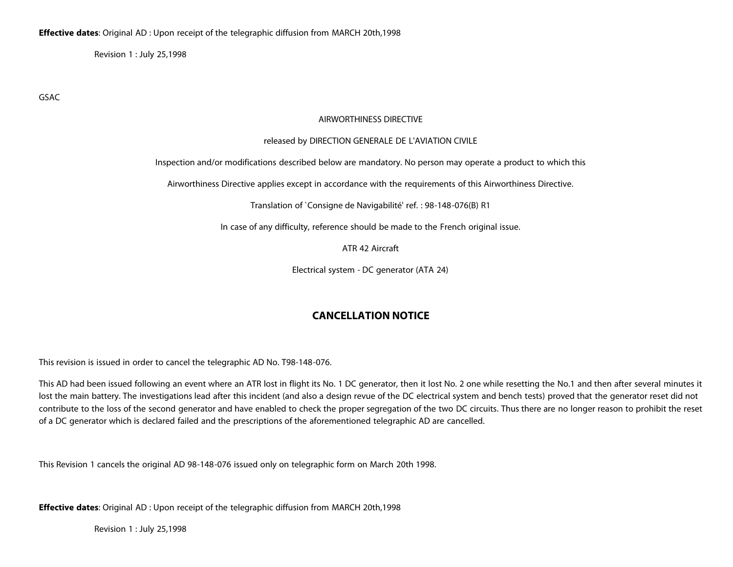Revision 1 : July 25,1998

GSAC

#### AIRWORTHINESS DIRECTIVE

#### released by DIRECTION GENERALE DE L'AVIATION CIVILE

Inspection and/or modifications described below are mandatory. No person may operate a product to which this

Airworthiness Directive applies except in accordance with the requirements of this Airworthiness Directive.

Translation of `Consigne de Navigabilité' ref. : 98-148-076(B) R1

In case of any difficulty, reference should be made to the French original issue.

ATR 42 Aircraft

Electrical system - DC generator (ATA 24)

### **CANCELLATION NOTICE**

This revision is issued in order to cancel the telegraphic AD No. T98-148-076.

This AD had been issued following an event where an ATR lost in flight its No. 1 DC generator, then it lost No. 2 one while resetting the No.1 and then after several minutes it lost the main battery. The investigations lead after this incident (and also a design revue of the DC electrical system and bench tests) proved that the generator reset did not contribute to the loss of the second generator and have enabled to check the proper segregation of the two DC circuits. Thus there are no longer reason to prohibit the reset of a DC generator which is declared failed and the prescriptions of the aforementioned telegraphic AD are cancelled.

This Revision 1 cancels the original AD 98-148-076 issued only on telegraphic form on March 20th 1998.

**Effective dates**: Original AD : Upon receipt of the telegraphic diffusion from MARCH 20th,1998

Revision 1 : July 25,1998